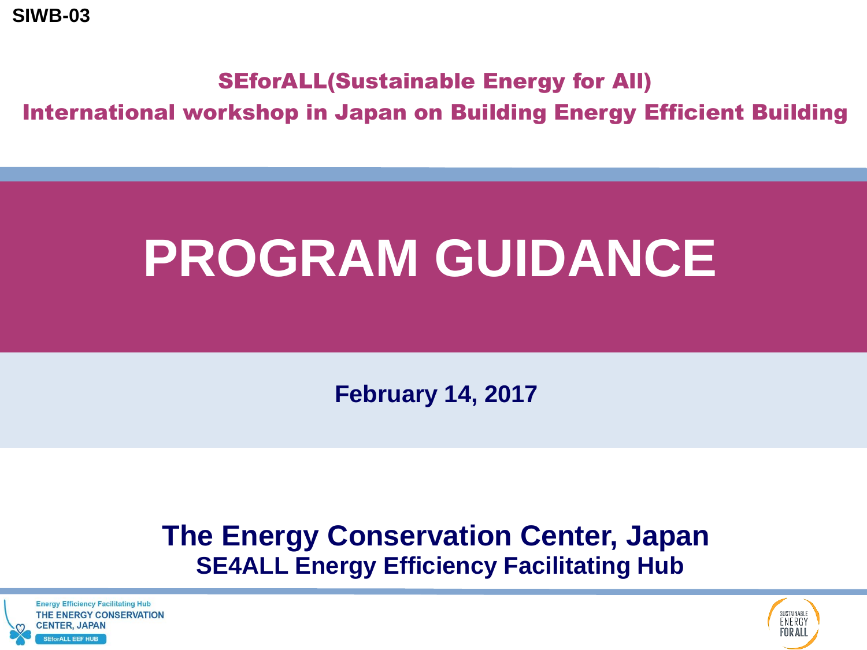**SIWB-03**

#### SEforALL(Sustainable Energy for All)

International workshop in Japan on Building Energy Efficient Building

## **PROGRAM GUIDANCE**

**February 14, 2017**

### **The Energy Conservation Center, Japan SE4ALL Energy Efficiency Facilitating Hub**

**Energy Efficiency Facilitating Hub** THE ENERGY CONSERVATION **CENTER, JAPAN EforALL FFF HUR** 

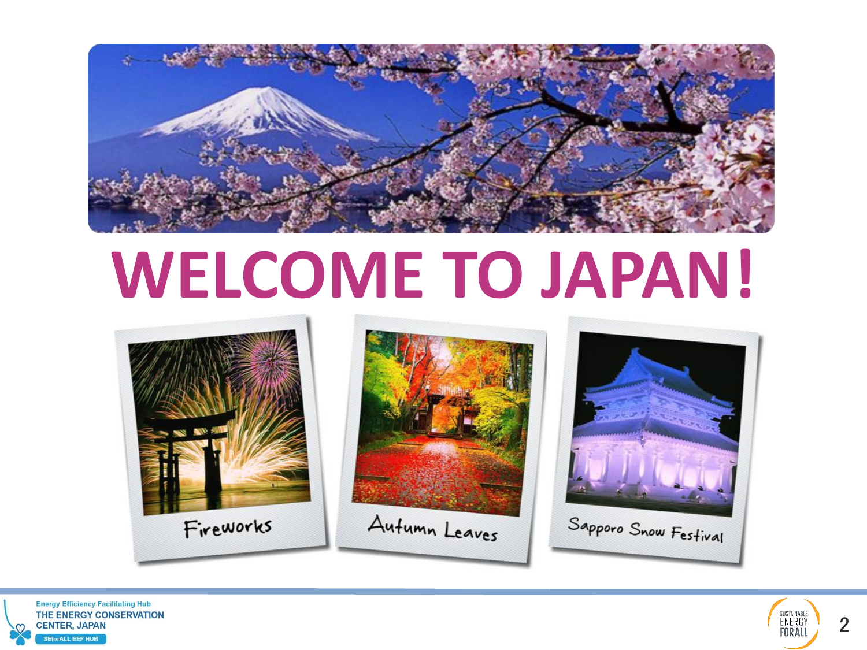

# **WELCOME TO JAPAN!**









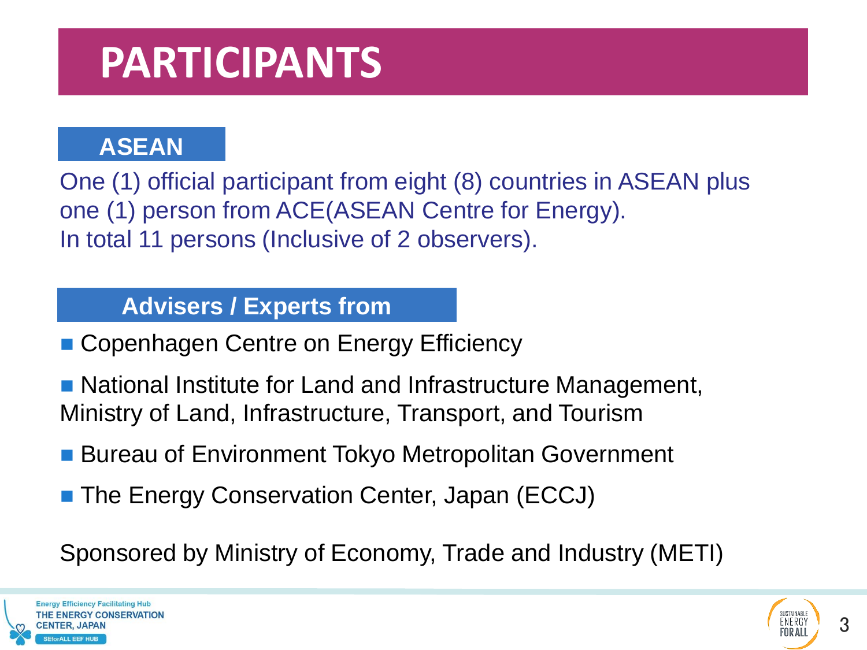### **PARTICIPANTS**

#### **ASEAN**

One (1) official participant from eight (8) countries in ASEAN plus one (1) person from ACE(ASEAN Centre for Energy). In total 11 persons (Inclusive of 2 observers).

#### **Advisers / Experts from**

- Copenhagen Centre on Energy Efficiency
- National Institute for Land and Infrastructure Management, Ministry of Land, Infrastructure, Transport, and Tourism
- **Bureau of Environment Tokyo Metropolitan Government**
- The Energy Conservation Center, Japan (ECCJ)

Sponsored by Ministry of Economy, Trade and Industry (METI)



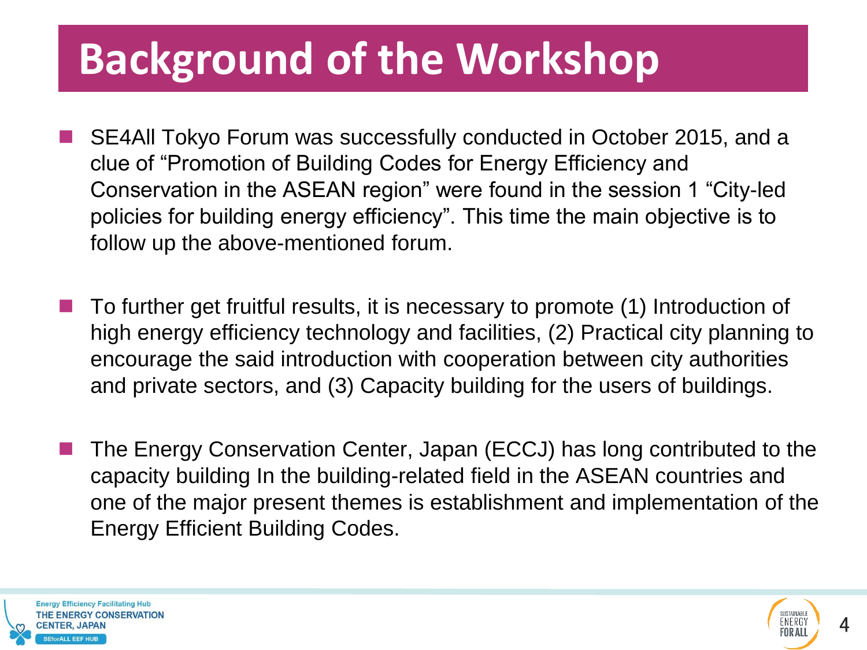### **Background of the Workshop**

- SE4All Tokyo Forum was successfully conducted in October 2015, and a clue of "Promotion of Building Codes for Energy Efficiency and Conservation in the ASEAN region" were found in the session 1 "City-led policies for building energy efficiency". This time the main objective is to follow up the above-mentioned forum.
- To further get fruitful results, it is necessary to promote (1) Introduction of high energy efficiency technology and facilities, (2) Practical city planning to encourage the said introduction with cooperation between city authorities and private sectors, and (3) Capacity building for the users of buildings.
- The Energy Conservation Center, Japan (ECCJ) has long contributed to the capacity building In the building-related field in the ASEAN countries and one of the major present themes is establishment and implementation of the Energy Efficient Building Codes.



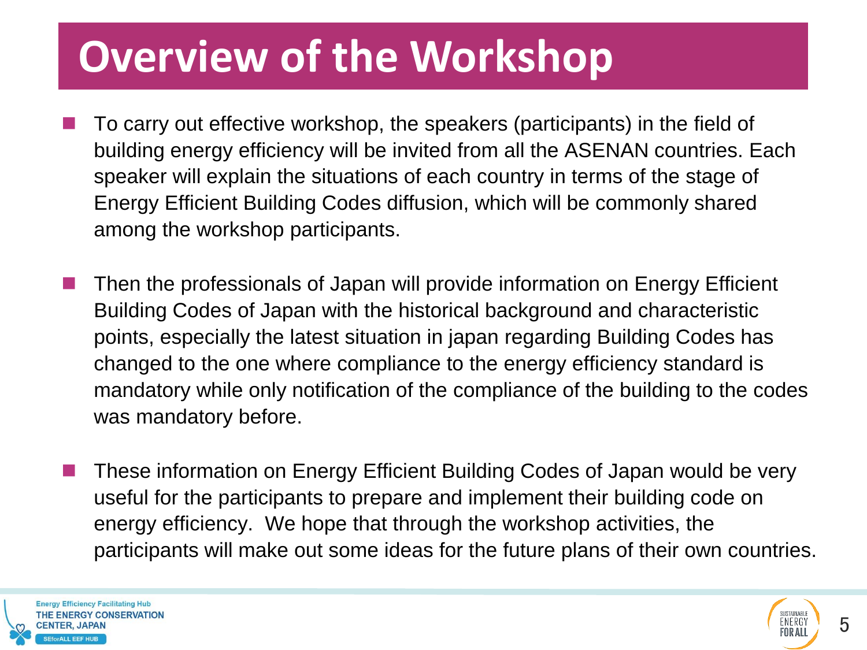### **Overview of the Workshop**

- To carry out effective workshop, the speakers (participants) in the field of building energy efficiency will be invited from all the ASENAN countries. Each speaker will explain the situations of each country in terms of the stage of Energy Efficient Building Codes diffusion, which will be commonly shared among the workshop participants.
- Then the professionals of Japan will provide information on Energy Efficient Building Codes of Japan with the historical background and characteristic points, especially the latest situation in japan regarding Building Codes has changed to the one where compliance to the energy efficiency standard is mandatory while only notification of the compliance of the building to the codes was mandatory before.
- These information on Energy Efficient Building Codes of Japan would be very useful for the participants to prepare and implement their building code on energy efficiency. We hope that through the workshop activities, the participants will make out some ideas for the future plans of their own countries.

**Energy Efficiency Facilitating Hub** THE ENERGY CONSERVATION ALL FFF HUR

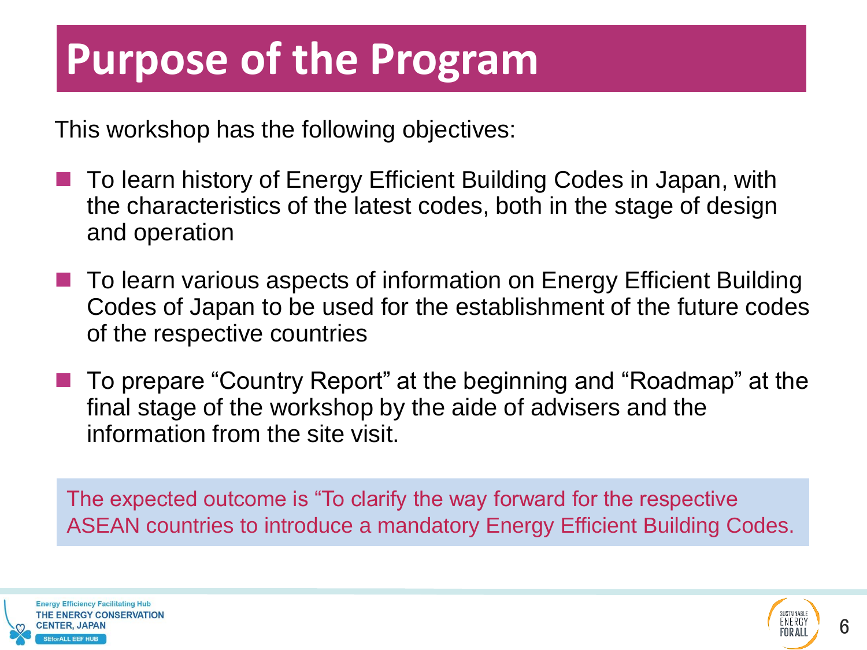### **Purpose of the Program**

This workshop has the following objectives:

- To learn history of Energy Efficient Building Codes in Japan, with the characteristics of the latest codes, both in the stage of design and operation
- To learn various aspects of information on Energy Efficient Building Codes of Japan to be used for the establishment of the future codes of the respective countries
- To prepare "Country Report" at the beginning and "Roadmap" at the final stage of the workshop by the aide of advisers and the information from the site visit.

The expected outcome is "To clarify the way forward for the respective ASEAN countries to introduce a mandatory Energy Efficient Building Codes.



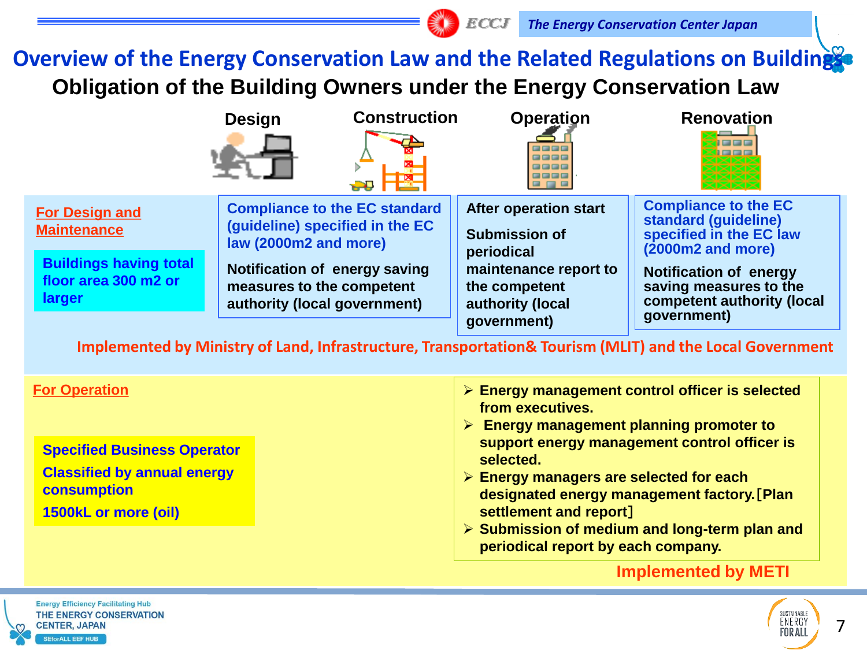#### **Overview of the Energy Conservation Law and the Related Regulations on Buildings Obligation of the Building Owners under the Energy Conservation Law**



**Specified Business Operator Classified by annual energy consumption 1500kL or more (oil)**

- **support energy management control officer is selected.**
- **Energy managers are selected for each designated energy management factory.**[**Plan settlement and report**]
- **Submission of medium and long-term plan and periodical report by each company.**

#### **Implemented by METI**



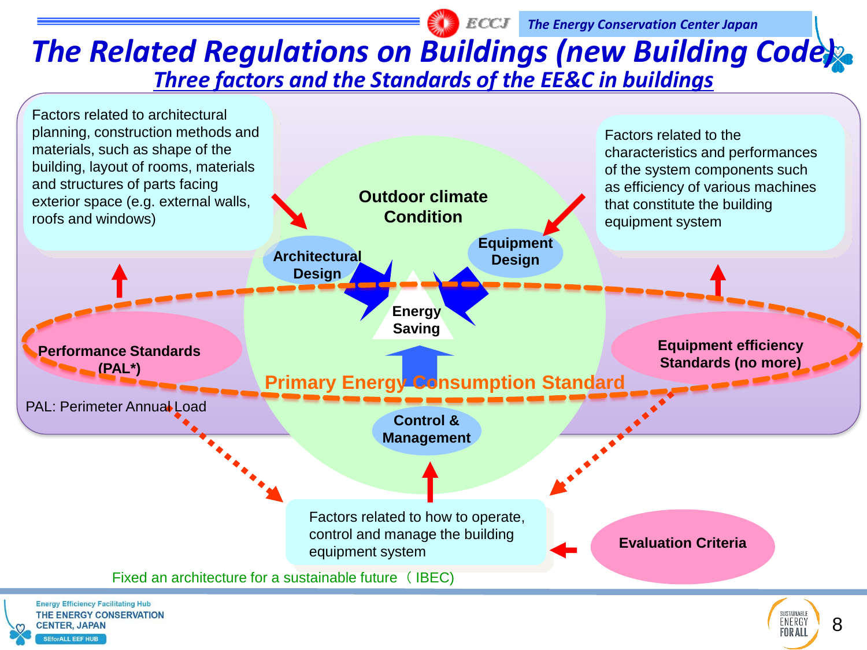#### *The Related Regulations on Buildings (new Building Code) Three factors and the Standards of the EE&C in buildings*

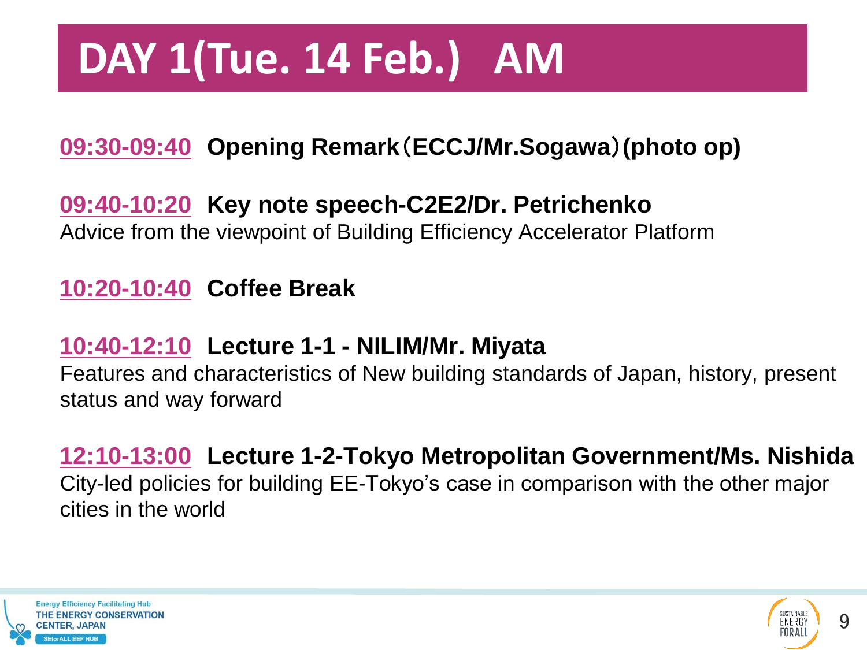### **DAY 1(Tue. 14 Feb.) AM**

#### **09:30-09:40 Opening Remark**(**ECCJ/Mr.Sogawa**)**(photo op)**

#### **09:40-10:20 Key note speech-C2E2/Dr. Petrichenko**

Advice from the viewpoint of Building Efficiency Accelerator Platform

#### **10:20-10:40 Coffee Break**

#### **10:40-12:10 Lecture 1-1 - NILIM/Mr. Miyata**

Features and characteristics of New building standards of Japan, history, present status and way forward

#### **12:10-13:00 Lecture 1-2-Tokyo Metropolitan Government/Ms. Nishida**

City-led policies for building EE-Tokyo's case in comparison with the other major cities in the world



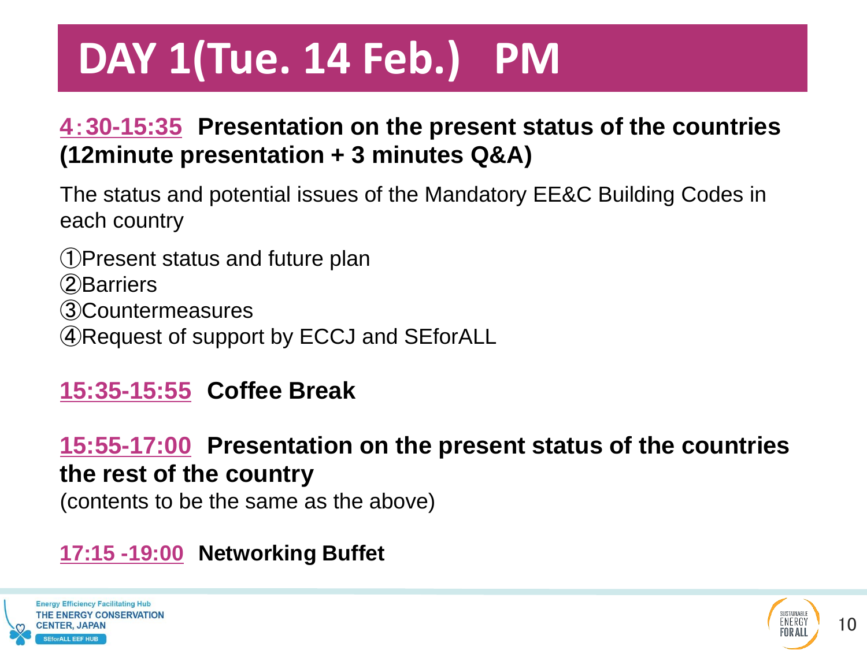## **DAY 1(Tue. 14 Feb.) PM**

#### **4**:**30-15:35 Presentation on the present status of the countries (12minute presentation + 3 minutes Q&A)**

The status and potential issues of the Mandatory EE&C Building Codes in each country

Present status and future plan ②Barriers Countermeasures Request of support by ECCJ and SEforALL

#### **15:35-15:55 Coffee Break**

#### **15:55-17:00 Presentation on the present status of the countries the rest of the country**

(contents to be the same as the above)

#### **17:15 -19:00 Networking Buffet**



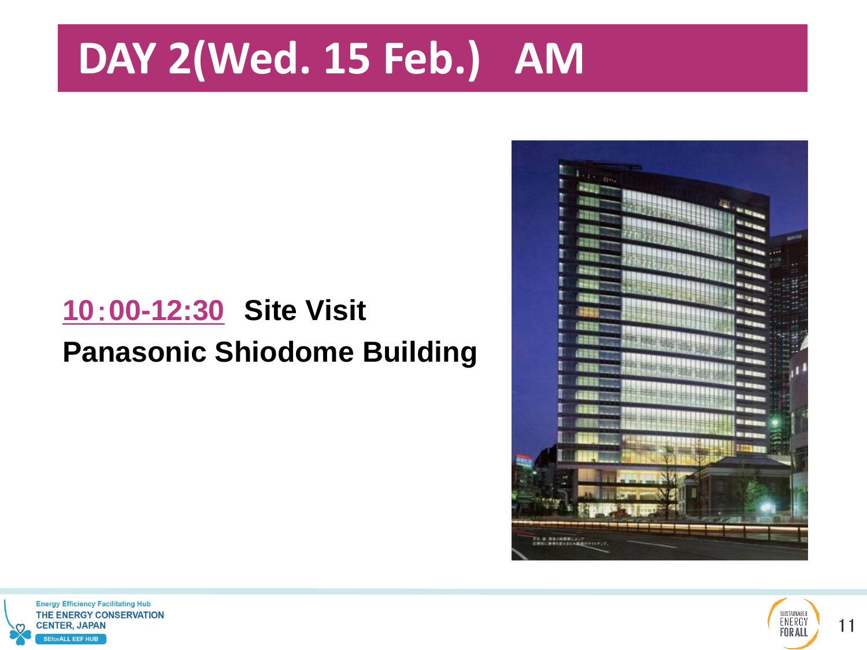### **DAY 2(Wed. 15 Feb.) AM**

### **10**:**00-12:30 Site Visit Panasonic Shiodome Building**





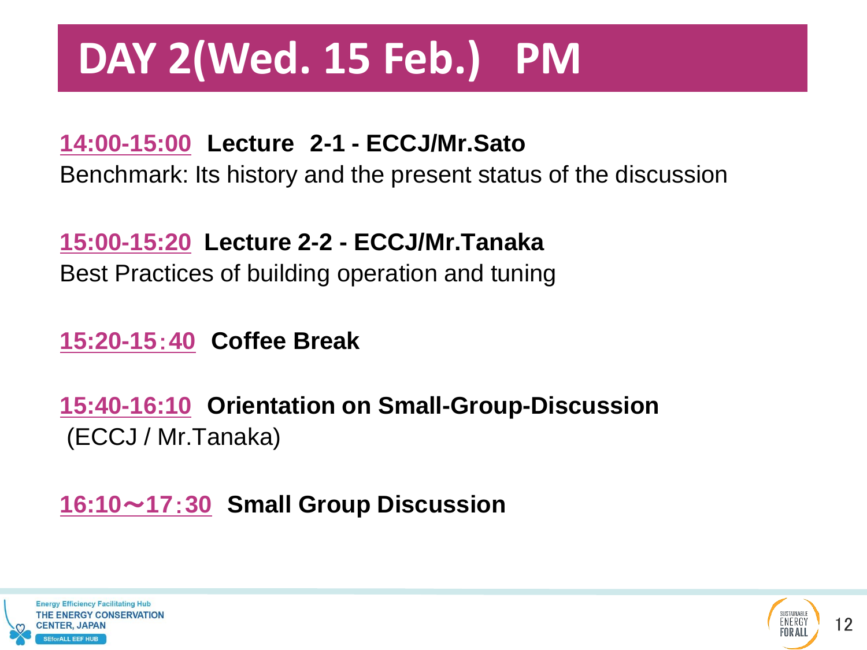### **DAY 2(Wed. 15 Feb.) PM**

#### **14:00-15:00 Lecture 2-1 - ECCJ/Mr.Sato**

Benchmark: Its history and the present status of the discussion

#### **15:00-15:20 Lecture 2-2 - ECCJ/Mr.Tanaka**

Best Practices of building operation and tuning

#### **15:20-15**:**40 Coffee Break**

**15:40-16:10 Orientation on Small-Group-Discussion** (ECCJ / Mr.Tanaka)

#### **16:10**~**17**:**30 Small Group Discussion**



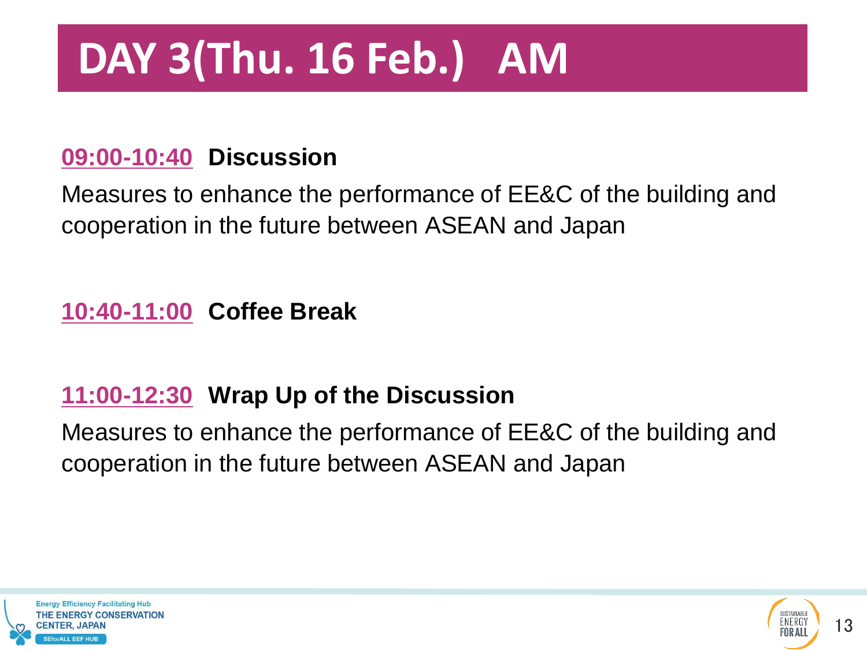## **DAY 3(Thu. 16 Feb.) AM**

#### **09:00-10:40 Discussion**

Measures to enhance the performance of EE&C of the building and cooperation in the future between ASEAN and Japan

**10:40-11:00 Coffee Break**

#### **11:00-12:30 Wrap Up of the Discussion**

Measures to enhance the performance of EE&C of the building and cooperation in the future between ASEAN and Japan



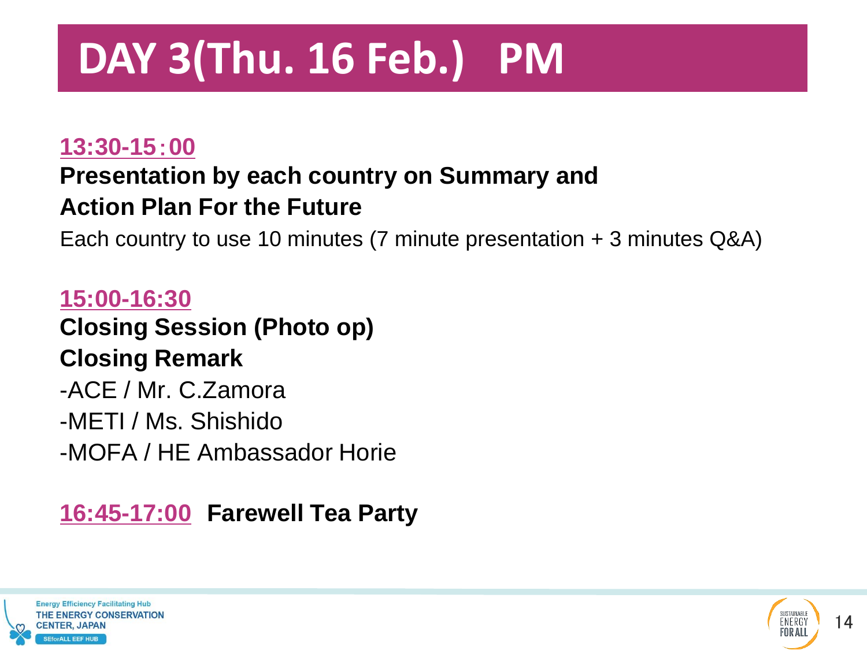## **DAY 3(Thu. 16 Feb.) PM**

#### **13:30-15**:**00**

#### **Presentation by each country on Summary and Action Plan For the Future**

Each country to use 10 minutes (7 minute presentation + 3 minutes Q&A)

**15:00-16:30 Closing Session (Photo op) Closing Remark** -ACE / Mr. C.Zamora -METI / Ms. Shishido -MOFA / HE Ambassador Horie

#### **16:45-17:00 Farewell Tea Party**